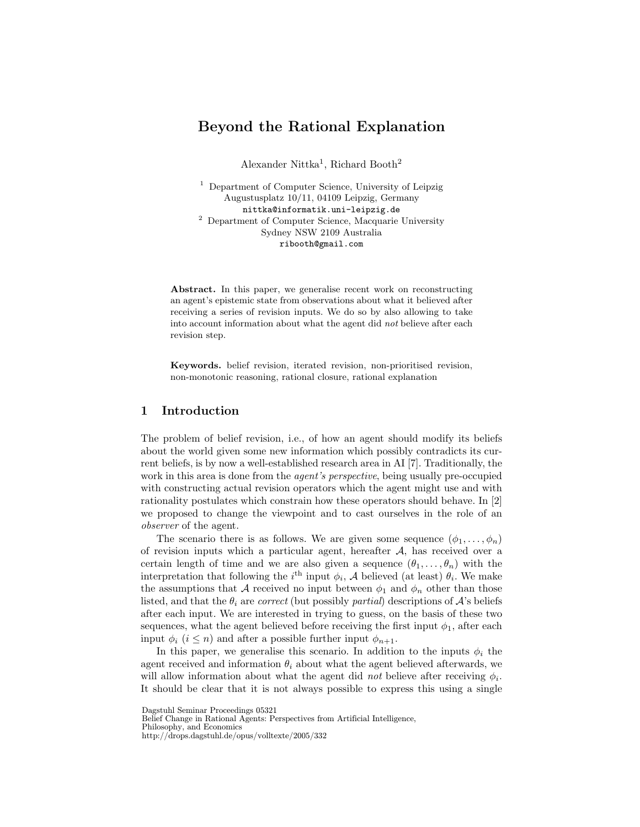# Beyond the Rational Explanation

Alexander Nittka<sup>1</sup>, Richard Booth<sup>2</sup>

<sup>1</sup> Department of Computer Science, University of Leipzig Augustusplatz 10/11, 04109 Leipzig, Germany nittka@informatik.uni-leipzig.de <sup>2</sup> Department of Computer Science, Macquarie University Sydney NSW 2109 Australia ribooth@gmail.com

Abstract. In this paper, we generalise recent work on reconstructing an agent's epistemic state from observations about what it believed after receiving a series of revision inputs. We do so by also allowing to take into account information about what the agent did not believe after each revision step.

Keywords. belief revision, iterated revision, non-prioritised revision, non-monotonic reasoning, rational closure, rational explanation

# 1 Introduction

The problem of belief revision, i.e., of how an agent should modify its beliefs about the world given some new information which possibly contradicts its current beliefs, is by now a well-established research area in AI [7]. Traditionally, the work in this area is done from the *agent's perspective*, being usually pre-occupied with constructing actual revision operators which the agent might use and with rationality postulates which constrain how these operators should behave. In [2] we proposed to change the viewpoint and to cast ourselves in the role of an observer of the agent.

The scenario there is as follows. We are given some sequence  $(\phi_1, \ldots, \phi_n)$ of revision inputs which a particular agent, hereafter  $A$ , has received over a certain length of time and we are also given a sequence  $(\theta_1, \ldots, \theta_n)$  with the interpretation that following the  $i^{\text{th}}$  input  $\phi_i$ , A believed (at least)  $\theta_i$ . We make the assumptions that A received no input between  $\phi_1$  and  $\phi_n$  other than those listed, and that the  $\theta_i$  are *correct* (but possibly *partial*) descriptions of  $\mathcal{A}$ 's beliefs after each input. We are interested in trying to guess, on the basis of these two sequences, what the agent believed before receiving the first input  $\phi_1$ , after each input  $\phi_i$  ( $i \leq n$ ) and after a possible further input  $\phi_{n+1}$ .

In this paper, we generalise this scenario. In addition to the inputs  $\phi_i$  the agent received and information  $\theta_i$  about what the agent believed afterwards, we will allow information about what the agent did *not* believe after receiving  $\phi_i$ . It should be clear that it is not always possible to express this using a single

Dagstuhl Seminar Proceedings 05321

Belief Change in Rational Agents: Perspectives from Artificial Intelligence,

Philosophy, and Economics

http://drops.dagstuhl.de/opus/volltexte/2005/332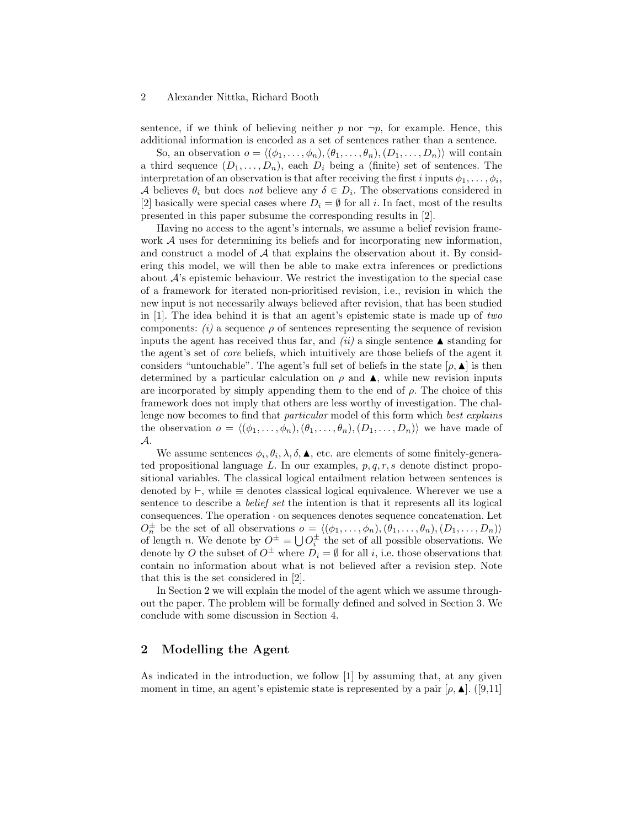sentence, if we think of believing neither p nor  $\neg p$ , for example. Hence, this additional information is encoded as a set of sentences rather than a sentence.

So, an observation  $o = \langle (\phi_1, \ldots, \phi_n),(\theta_1, \ldots, \theta_n), (D_1, \ldots, D_n) \rangle$  will contain a third sequence  $(D_1, \ldots, D_n)$ , each  $D_i$  being a (finite) set of sentences. The interpretation of an observation is that after receiving the first i inputs  $\phi_1, \ldots, \phi_i$ , A believes  $\theta_i$  but does not believe any  $\delta \in D_i$ . The observations considered in [2] basically were special cases where  $D_i = \emptyset$  for all i. In fact, most of the results presented in this paper subsume the corresponding results in [2].

Having no access to the agent's internals, we assume a belief revision framework A uses for determining its beliefs and for incorporating new information, and construct a model of  $A$  that explains the observation about it. By considering this model, we will then be able to make extra inferences or predictions about  $\mathcal{A}$ 's epistemic behaviour. We restrict the investigation to the special case of a framework for iterated non-prioritised revision, i.e., revision in which the new input is not necessarily always believed after revision, that has been studied in [1]. The idea behind it is that an agent's epistemic state is made up of two components:  $(i)$  a sequence  $\rho$  of sentences representing the sequence of revision inputs the agent has received thus far, and *(ii)* a single sentence  $\blacktriangle$  standing for the agent's set of core beliefs, which intuitively are those beliefs of the agent it considers "untouchable". The agent's full set of beliefs in the state  $[\rho, \blacktriangle]$  is then determined by a particular calculation on  $\rho$  and  $\blacktriangle$ , while new revision inputs are incorporated by simply appending them to the end of  $\rho$ . The choice of this framework does not imply that others are less worthy of investigation. The challenge now becomes to find that *particular* model of this form which *best explains* the observation  $o = \langle (\phi_1, \ldots, \phi_n),(\theta_1, \ldots, \theta_n), (D_1, \ldots, D_n) \rangle$  we have made of A.

We assume sentences  $\phi_i, \theta_i, \lambda, \delta, \blacktriangle$ , etc. are elements of some finitely-generated propositional language  $L$ . In our examples,  $p, q, r, s$  denote distinct propositional variables. The classical logical entailment relation between sentences is denoted by  $\vdash$ , while  $\equiv$  denotes classical logical equivalence. Wherever we use a sentence to describe a belief set the intention is that it represents all its logical  $consequences.$  The operation  $\cdot$  on sequences denotes sequence concatenation. Let  $O_n^{\pm}$  be the set of all observations  $o = \langle (\phi_1, \ldots, \phi_n), (\theta_1, \ldots, \theta_n), (D_1, \ldots, D_n) \rangle$ of length n. We denote by  $O^{\pm} = \bigcup O_i^{\pm}$  the set of all possible observations. We denote by O the subset of  $O^{\pm}$  where  $D_i = \emptyset$  for all i, i.e. those observations that contain no information about what is not believed after a revision step. Note that this is the set considered in [2].

In Section 2 we will explain the model of the agent which we assume throughout the paper. The problem will be formally defined and solved in Section 3. We conclude with some discussion in Section 4.

# 2 Modelling the Agent

As indicated in the introduction, we follow [1] by assuming that, at any given moment in time, an agent's epistemic state is represented by a pair  $[\rho, \blacktriangle]$ . ([9,11]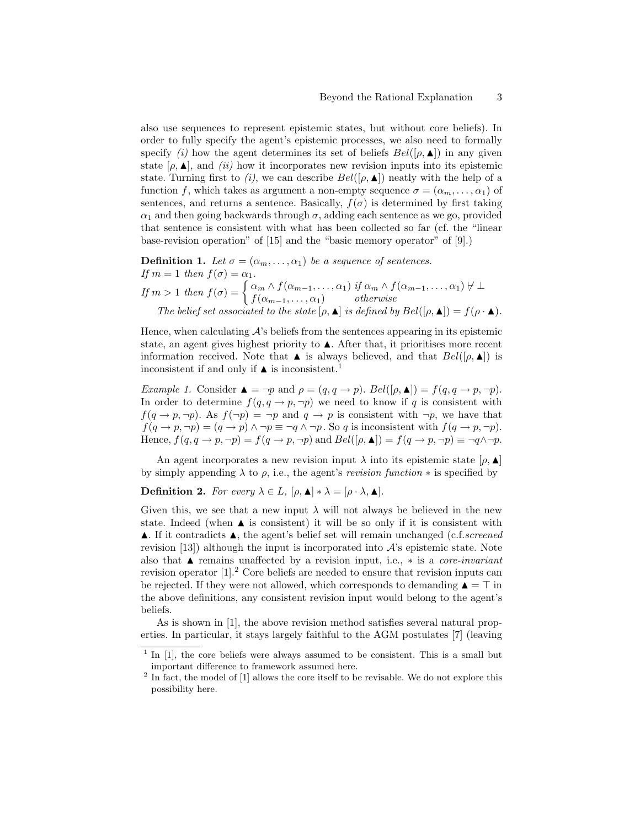also use sequences to represent epistemic states, but without core beliefs). In order to fully specify the agent's epistemic processes, we also need to formally specify (i) how the agent determines its set of beliefs  $Bel([\rho, \blacktriangle])$  in any given state  $[\rho, \blacktriangle]$ , and *(ii)* how it incorporates new revision inputs into its epistemic state. Turning first to (i), we can describe  $Bel([\rho, \blacktriangle])$  neatly with the help of a function f, which takes as argument a non-empty sequence  $\sigma = (\alpha_m, \dots, \alpha_1)$  of sentences, and returns a sentence. Basically,  $f(\sigma)$  is determined by first taking  $\alpha_1$  and then going backwards through  $\sigma$ , adding each sentence as we go, provided that sentence is consistent with what has been collected so far (cf. the "linear base-revision operation" of [15] and the "basic memory operator" of [9].)

**Definition 1.** Let  $\sigma = (\alpha_m, \dots, \alpha_1)$  be a sequence of sentences. If  $m = 1$  then  $f(\sigma) = \alpha_1$ . If  $m > 1$  then  $f(\sigma) = \begin{cases} \alpha_m \wedge f(\alpha_{m-1}, \ldots, \alpha_1) & \text{if } \alpha_m \wedge f(\alpha_{m-1}, \ldots, \alpha_1) \neq \bot \\ f(\sigma) & \text{otherwise} \end{cases}$  $f(\alpha_{m-1},\ldots,\alpha_1)$  otherwise The belief set associated to the state  $[\rho, \blacktriangle]$  is defined by  $Bel([\rho, \blacktriangle]) = f(\rho \cdot \blacktriangle)$ .

Hence, when calculating  $\mathcal{A}$ 's beliefs from the sentences appearing in its epistemic state, an agent gives highest priority to  $\blacktriangle$ . After that, it prioritises more recent information received. Note that  $\blacktriangle$  is always believed, and that  $Bel([\rho, \blacktriangle])$  is inconsistent if and only if  $\blacktriangle$  is inconsistent.<sup>1</sup>

Example 1. Consider  $\blacktriangle = \neg p$  and  $\rho = (q, q \rightarrow p)$ . Bel $([\rho, \blacktriangle]) = f(q, q \rightarrow p, \neg p)$ . In order to determine  $f(q, q \rightarrow p, \neg p)$  we need to know if q is consistent with  $f(q \rightarrow p, \neg p)$ . As  $f(\neg p) = \neg p$  and  $q \rightarrow p$  is consistent with  $\neg p$ , we have that  $f(q \to p, \neg p) = (q \to p) \land \neg p \equiv \neg q \land \neg p$ . So q is inconsistent with  $f(q \to p, \neg p)$ . Hence,  $f(q, q \rightarrow p, \neg p) = f(q \rightarrow p, \neg p)$  and  $Bel([\rho, \blacktriangle]) = f(q \rightarrow p, \neg p) \equiv \neg q \land \neg p$ .

An agent incorporates a new revision input  $\lambda$  into its epistemic state  $[\rho, \blacktriangle]$ by simply appending  $\lambda$  to  $\rho$ , i.e., the agent's *revision function*  $*$  is specified by

**Definition 2.** For every  $\lambda \in L$ ,  $[\rho, \blacktriangle] * \lambda = [\rho \cdot \lambda, \blacktriangle]$ .

Given this, we see that a new input  $\lambda$  will not always be believed in the new state. Indeed (when  $\blacktriangle$  is consistent) it will be so only if it is consistent with  $\blacktriangle$ . If it contradicts  $\blacktriangle$ , the agent's belief set will remain unchanged (c.f.screened revision  $(13)$  although the input is incorporated into  $\mathcal{A}$ 's epistemic state. Note also that  $\blacktriangle$  remains unaffected by a revision input, i.e.,  $*$  is a *core-invariant* revision operator  $[1]^2$ . Core beliefs are needed to ensure that revision inputs can be rejected. If they were not allowed, which corresponds to demanding  $\triangle = \top$  in the above definitions, any consistent revision input would belong to the agent's beliefs.

As is shown in [1], the above revision method satisfies several natural properties. In particular, it stays largely faithful to the AGM postulates [7] (leaving

<sup>&</sup>lt;sup>1</sup> In [1], the core beliefs were always assumed to be consistent. This is a small but important difference to framework assumed here.

 $2$  In fact, the model of  $[1]$  allows the core itself to be revisable. We do not explore this possibility here.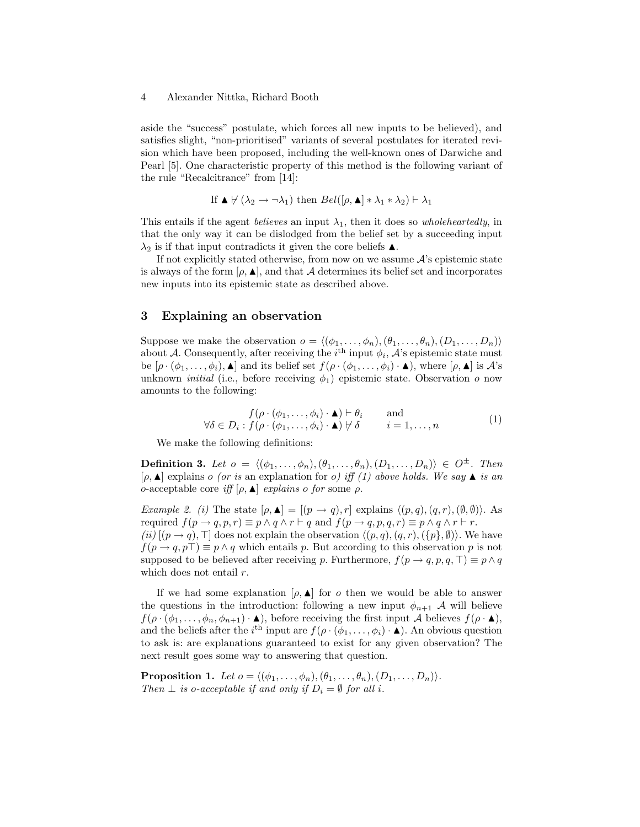aside the "success" postulate, which forces all new inputs to be believed), and satisfies slight, "non-prioritised" variants of several postulates for iterated revision which have been proposed, including the well-known ones of Darwiche and Pearl [5]. One characteristic property of this method is the following variant of the rule "Recalcitrance" from [14]:

If 
$$
\triangle \forall (\lambda_2 \rightarrow \neg \lambda_1)
$$
 then  $Bel([\rho, \triangle] * \lambda_1 * \lambda_2) \vdash \lambda_1$ 

This entails if the agent *believes* an input  $\lambda_1$ , then it does so *wholeheartedly*, in that the only way it can be dislodged from the belief set by a succeeding input  $\lambda_2$  is if that input contradicts it given the core beliefs  $\blacktriangle$ .

If not explicitly stated otherwise, from now on we assume  $A$ 's epistemic state is always of the form  $[\rho, \blacktriangle]$ , and that A determines its belief set and incorporates new inputs into its epistemic state as described above.

### 3 Explaining an observation

Suppose we make the observation  $o = \langle (\phi_1, \ldots, \phi_n), (\theta_1, \ldots, \theta_n), (D_1, \ldots, D_n) \rangle$ about A. Consequently, after receiving the  $i^{\text{th}}$  input  $\phi_i$ , A's epistemic state must be  $[\rho \cdot (\phi_1, \ldots, \phi_i), \blacktriangle]$  and its belief set  $f(\rho \cdot (\phi_1, \ldots, \phi_i) \cdot \blacktriangle)$ , where  $[\rho, \blacktriangle]$  is  $\mathcal{A}$ 's unknown *initial* (i.e., before receiving  $\phi_1$ ) epistemic state. Observation o now amounts to the following:

$$
f(\rho \cdot (\phi_1, \dots, \phi_i) \cdot \blacktriangle) \vdash \theta_i \quad \text{and} \quad f(\rho \cdot (\phi_1, \dots, \phi_i) \cdot \blacktriangle) \not\vdash \delta \quad i = 1, \dots, n \quad (1)
$$

We make the following definitions:

**Definition 3.** Let  $o = \langle (\phi_1, \ldots, \phi_n),(\theta_1, \ldots, \theta_n), (D_1, \ldots, D_n) \rangle \in O^{\pm}$ . Then  $[\rho, \blacktriangle]$  explains o (or is an explanation for o) iff (1) above holds. We say  $\blacktriangle$  is an o-acceptable core iff  $[\rho, \blacktriangle]$  explains o for some  $\rho$ .

Example 2. (i) The state  $[\rho, \blacktriangle] = [(p \rightarrow q), r]$  explains  $\langle (p, q), (q, r), (\emptyset, \emptyset) \rangle$ . As required  $f(p \to q, p, r) \equiv p \land q \land r \vdash q$  and  $f(p \to q, p, q, r) \equiv p \land q \land r \vdash r$ . (ii)  $[(p \rightarrow q), \top]$  does not explain the observation  $\langle (p, q), (q, r), (\{p\}, \emptyset) \rangle$ . We have  $f(p \rightarrow q, p\top) \equiv p \land q$  which entails p. But according to this observation p is not supposed to be believed after receiving p. Furthermore,  $f(p \rightarrow q, p, q, \top) \equiv p \land q$ which does not entail r.

If we had some explanation  $[\rho, \blacktriangle]$  for *o* then we would be able to answer the questions in the introduction: following a new input  $\phi_{n+1}$  A will believe  $f(\rho \cdot (\phi_1,\ldots,\phi_n,\phi_{n+1})\cdot \blacktriangle)$ , before receiving the first input A believes  $f(\rho \cdot \blacktriangle)$ , and the beliefs after the i<sup>th</sup> input are  $f(\rho \cdot (\phi_1, \ldots, \phi_i) \cdot \blacktriangle)$ . An obvious question to ask is: are explanations guaranteed to exist for any given observation? The next result goes some way to answering that question.

**Proposition 1.** Let  $o = \langle (\phi_1, \ldots, \phi_n), (\theta_1, \ldots, \theta_n), (D_1, \ldots, D_n) \rangle$ . Then  $\perp$  is o-acceptable if and only if  $D_i = \emptyset$  for all i.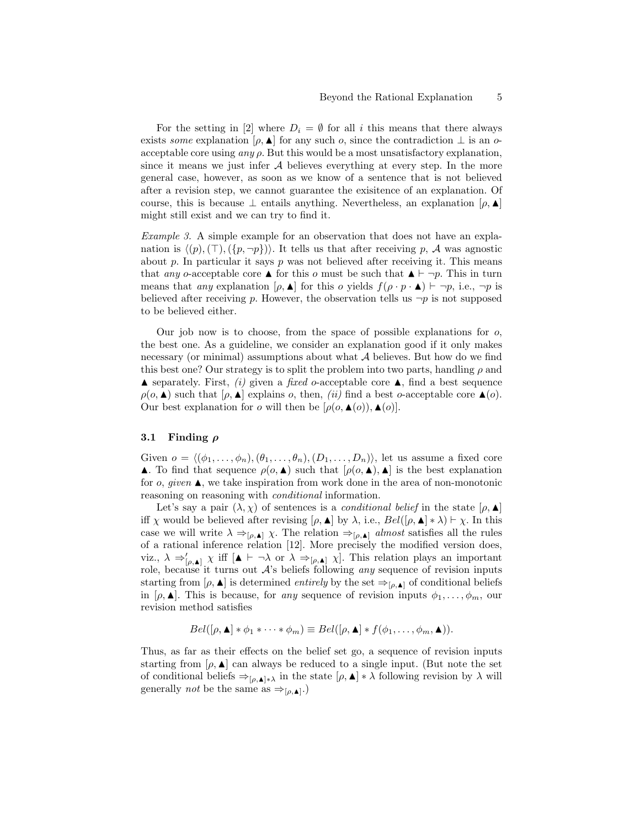For the setting in [2] where  $D_i = \emptyset$  for all i this means that there always exists some explanation  $[\rho, \blacktriangle]$  for any such  $o$ , since the contradiction  $\perp$  is an  $o$ acceptable core using  $any \rho$ . But this would be a most unsatisfactory explanation, since it means we just infer  $A$  believes everything at every step. In the more general case, however, as soon as we know of a sentence that is not believed after a revision step, we cannot guarantee the exisitence of an explanation. Of course, this is because  $\perp$  entails anything. Nevertheless, an explanation  $[\rho, \blacktriangle]$ might still exist and we can try to find it.

Example 3. A simple example for an observation that does not have an explanation is  $\langle (p),(\top),(\{p,\neg p\})\rangle$ . It tells us that after receiving p, A was agnostic about p. In particular it says p was not believed after receiving it. This means that any o-acceptable core  $\blacktriangle$  for this o must be such that  $\blacktriangle \vdash \neg p$ . This in turn means that any explanation  $[\rho, \blacktriangle]$  for this o yields  $f(\rho \cdot p \cdot \blacktriangle) \vdash \neg p$ , i.e.,  $\neg p$  is believed after receiving p. However, the observation tells us  $\neg p$  is not supposed to be believed either.

Our job now is to choose, from the space of possible explanations for  $o$ , the best one. As a guideline, we consider an explanation good if it only makes necessary (or minimal) assumptions about what  $A$  believes. But how do we find this best one? Our strategy is to split the problem into two parts, handling  $\rho$  and  $\blacktriangle$  separately. First, (i) given a fixed o-acceptable core  $\blacktriangle$ , find a best sequence  $\rho(o, \blacktriangle)$  such that  $[\rho, \blacktriangle]$  explains  $o$ , then, *(ii)* find a best  $o$ -acceptable core  $\blacktriangle$  (*o*). Our best explanation for o will then be  $[\rho(\rho, \blacktriangle(\rho)), \blacktriangle(\rho)].$ 

### 3.1 Finding  $\rho$

Given  $o = \langle (\phi_1, \ldots, \phi_n),(\theta_1, \ldots, \theta_n), (D_1, \ldots, D_n) \rangle$ , let us assume a fixed core  $\blacktriangle$ . To find that sequence  $\rho(o, \blacktriangle)$  such that  $[\rho(o, \blacktriangle), \blacktriangle]$  is the best explanation for o, given  $\blacktriangle$ , we take inspiration from work done in the area of non-monotonic reasoning on reasoning with conditional information.

Let's say a pair  $(\lambda, \chi)$  of sentences is a *conditional belief* in the state  $[\rho, \blacktriangle]$ iff  $\chi$  would be believed after revising  $[\rho, \blacktriangle]$  by  $\lambda$ , i.e.,  $Bel([\rho, \blacktriangle] * \lambda) \vdash \chi$ . In this case we will write  $\lambda \Rightarrow_{[\rho,\blacktriangle]} \chi$ . The relation  $\Rightarrow_{[\rho,\blacktriangle]} \text{almost satisfies all the rules}$ of a rational inference relation [12]. More precisely the modified version does, viz.,  $\lambda \Rightarrow'_{[\rho,\blacktriangle]} \chi$  iff  $[\blacktriangle \vdash \neg \lambda \text{ or } \lambda \Rightarrow_{[\rho,\blacktriangle]} \chi]$ . This relation plays an important role, because it turns out  $A$ 's beliefs following any sequence of revision inputs starting from  $[\rho, \blacktriangle]$  is determined *entirely* by the set  $\Rightarrow_{[\rho, \blacktriangle]}$  of conditional beliefs in  $[\rho, \blacktriangle]$ . This is because, for any sequence of revision inputs  $\phi_1, \ldots, \phi_m$ , our revision method satisfies

$$
Bel([\rho, \blacktriangle] * \phi_1 * \cdots * \phi_m) \equiv Bel([\rho, \blacktriangle] * f(\phi_1, \ldots, \phi_m, \blacktriangle)).
$$

Thus, as far as their effects on the belief set go, a sequence of revision inputs starting from  $[\rho, \blacktriangle]$  can always be reduced to a single input. (But note the set of conditional beliefs  $\Rightarrow_{[\rho,\blacktriangle]\ast\lambda}$  in the state  $[\rho,\blacktriangle]\ast\lambda$  following revision by  $\lambda$  will generally *not* be the same as  $\Rightarrow_{[\rho,\blacktriangle]}.)$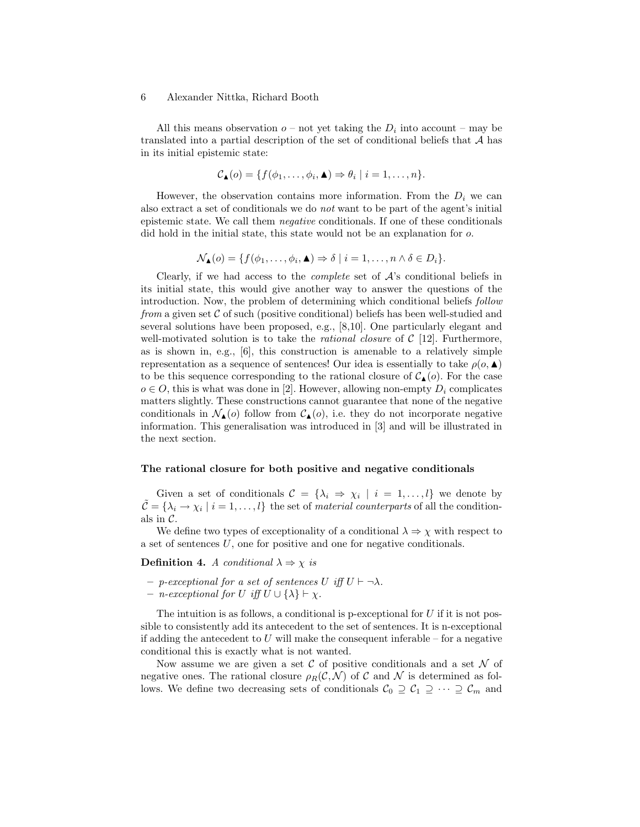All this means observation  $o$  – not yet taking the  $D_i$  into account – may be translated into a partial description of the set of conditional beliefs that A has in its initial epistemic state:

$$
\mathcal{C}_{\blacktriangle}(o) = \{f(\phi_1,\ldots,\phi_i,\blacktriangle) \Rightarrow \theta_i \mid i = 1,\ldots,n\}.
$$

However, the observation contains more information. From the  $D_i$  we can also extract a set of conditionals we do not want to be part of the agent's initial epistemic state. We call them negative conditionals. If one of these conditionals did hold in the initial state, this state would not be an explanation for o.

$$
\mathcal{N}_{\blacktriangle}(o) = \{ f(\phi_1, \ldots, \phi_i, \blacktriangle) \Rightarrow \delta \mid i = 1, \ldots, n \land \delta \in D_i \}.
$$

Clearly, if we had access to the *complete* set of  $A$ 's conditional beliefs in its initial state, this would give another way to answer the questions of the introduction. Now, the problem of determining which conditional beliefs follow from a given set  $\mathcal C$  of such (positive conditional) beliefs has been well-studied and several solutions have been proposed, e.g., [8,10]. One particularly elegant and well-motivated solution is to take the *rational closure* of  $C$  [12]. Furthermore, as is shown in, e.g.,  $[6]$ , this construction is amenable to a relatively simple representation as a sequence of sentences! Our idea is essentially to take  $\rho(o, \blacktriangle)$ to be this sequence corresponding to the rational closure of  $C_{\blacktriangle}(o)$ . For the case  $o \in O$ , this is what was done in [2]. However, allowing non-empty  $D_i$  complicates matters slightly. These constructions cannot guarantee that none of the negative conditionals in  $\mathcal{N}_{\blacktriangle}(o)$  follow from  $\mathcal{C}_{\blacktriangle}(o)$ , i.e. they do not incorporate negative information. This generalisation was introduced in [3] and will be illustrated in the next section.

#### The rational closure for both positive and negative conditionals

Given a set of conditionals  $\mathcal{C} = \{\lambda_i \Rightarrow \chi_i \mid i = 1, \ldots, l\}$  we denote by  $\tilde{\mathcal{C}} = \{\lambda_i \to \chi_i \mid i = 1, \ldots, l\}$  the set of material counterparts of all the conditionals in  $\mathcal{C}$ .

We define two types of exceptionality of a conditional  $\lambda \Rightarrow \chi$  with respect to a set of sentences  $U$ , one for positive and one for negative conditionals.

**Definition 4.** A conditional  $\lambda \Rightarrow \chi$  is

- $-$  p-exceptional for a set of sentences U iff  $U \vdash \neg \lambda$ .
- $-$  *n*-exceptional for U iff  $U$  ∪ { $λ$ }  $\vdash$   $χ$ .

The intuition is as follows, a conditional is p-exceptional for  $U$  if it is not possible to consistently add its antecedent to the set of sentences. It is n-exceptional if adding the antecedent to U will make the consequent inferable – for a negative conditional this is exactly what is not wanted.

Now assume we are given a set  $\mathcal C$  of positive conditionals and a set  $\mathcal N$  of negative ones. The rational closure  $\rho_R(C, \mathcal{N})$  of C and N is determined as follows. We define two decreasing sets of conditionals  $C_0 \supseteq C_1 \supseteq \cdots \supseteq C_m$  and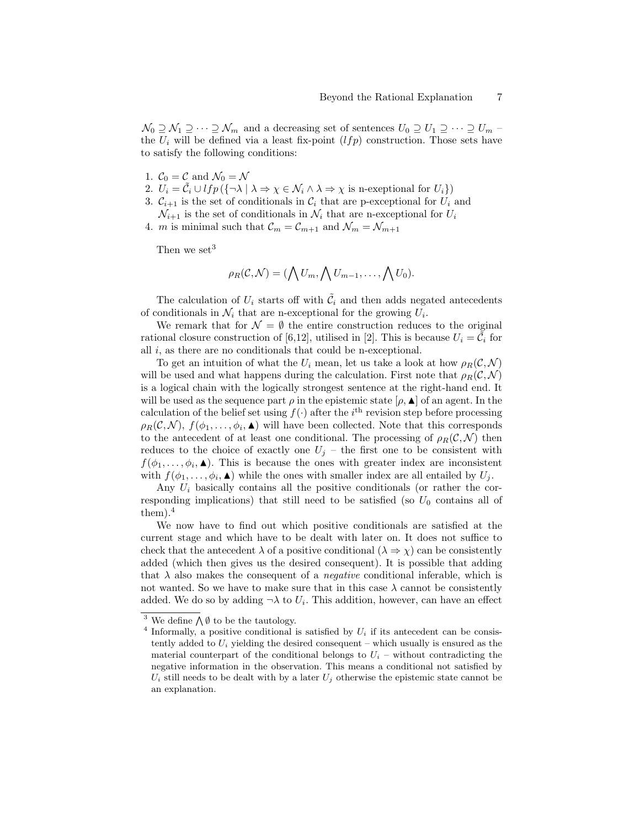$\mathcal{N}_0 \supseteq \mathcal{N}_1 \supseteq \cdots \supseteq \mathcal{N}_m$  and a decreasing set of sentences  $U_0 \supseteq U_1 \supseteq \cdots \supseteq U_m$ the  $U_i$  will be defined via a least fix-point  $(lfp)$  construction. Those sets have to satisfy the following conditions:

- 1.  $C_0 = C$  and  $\mathcal{N}_0 = \mathcal{N}$
- 2.  $U_i = \tilde{C}_i \cup lfp \ (\{\neg \lambda \mid \lambda \Rightarrow \chi \in \mathcal{N}_i \land \lambda \Rightarrow \chi \text{ is n-exentional for } U_i\})$
- 3.  $C_{i+1}$  is the set of conditionals in  $C_i$  that are p-exceptional for  $U_i$  and  $\mathcal{N}_{i+1}$  is the set of conditionals in  $\mathcal{N}_i$  that are n-exceptional for  $U_i$
- 4. *m* is minimal such that  $\mathcal{C}_m = \mathcal{C}_{m+1}$  and  $\mathcal{N}_m = \mathcal{N}_{m+1}$

Then we set<sup>3</sup>

$$
\rho_R(\mathcal{C},\mathcal{N})=(\bigwedge U_m,\bigwedge U_{m-1},\ldots,\bigwedge U_0).
$$

The calculation of  $U_i$  starts off with  $\tilde{C}_i$  and then adds negated antecedents of conditionals in  $\mathcal{N}_i$  that are n-exceptional for the growing  $U_i$ .

We remark that for  $\mathcal{N} = \emptyset$  the entire construction reduces to the original rational closure construction of [6,12], utilised in [2]. This is because  $U_i = \tilde{C}_i$  for all  $i$ , as there are no conditionals that could be n-exceptional.

To get an intuition of what the  $U_i$  mean, let us take a look at how  $\rho_R(C, \mathcal{N})$ will be used and what happens during the calculation. First note that  $\rho_R(\mathcal{C}, \mathcal{N})$ is a logical chain with the logically strongest sentence at the right-hand end. It will be used as the sequence part  $\rho$  in the epistemic state  $[\rho, \blacktriangle]$  of an agent. In the calculation of the belief set using  $f(\cdot)$  after the i<sup>th</sup> revision step before processing  $\rho_R(C,N)$ ,  $f(\phi_1,\ldots,\phi_i,\blacktriangle)$  will have been collected. Note that this corresponds to the antecedent of at least one conditional. The processing of  $\rho_R(C, \mathcal{N})$  then reduces to the choice of exactly one  $U_j$  – the first one to be consistent with  $f(\phi_1,\ldots,\phi_i,\blacktriangle)$ . This is because the ones with greater index are inconsistent with  $f(\phi_1,\ldots,\phi_i, \blacktriangle)$  while the ones with smaller index are all entailed by  $U_j$ .

Any  $U_i$  basically contains all the positive conditionals (or rather the corresponding implications) that still need to be satisfied (so  $U_0$  contains all of  $them).<sup>4</sup>$ 

We now have to find out which positive conditionals are satisfied at the current stage and which have to be dealt with later on. It does not suffice to check that the antecedent  $\lambda$  of a positive conditional  $(\lambda \Rightarrow \chi)$  can be consistently added (which then gives us the desired consequent). It is possible that adding that  $\lambda$  also makes the consequent of a *negative* conditional inferable, which is not wanted. So we have to make sure that in this case  $\lambda$  cannot be consistently added. We do so by adding  $\neg \lambda$  to  $U_i$ . This addition, however, can have an effect

<sup>&</sup>lt;sup>3</sup> We define  $\bigwedge \emptyset$  to be the tautology.

<sup>&</sup>lt;sup>4</sup> Informally, a positive conditional is satisfied by  $U_i$  if its antecedent can be consistently added to  $U_i$  yielding the desired consequent – which usually is ensured as the material counterpart of the conditional belongs to  $U_i$  – without contradicting the negative information in the observation. This means a conditional not satisfied by  $U_i$  still needs to be dealt with by a later  $U_j$  otherwise the epistemic state cannot be an explanation.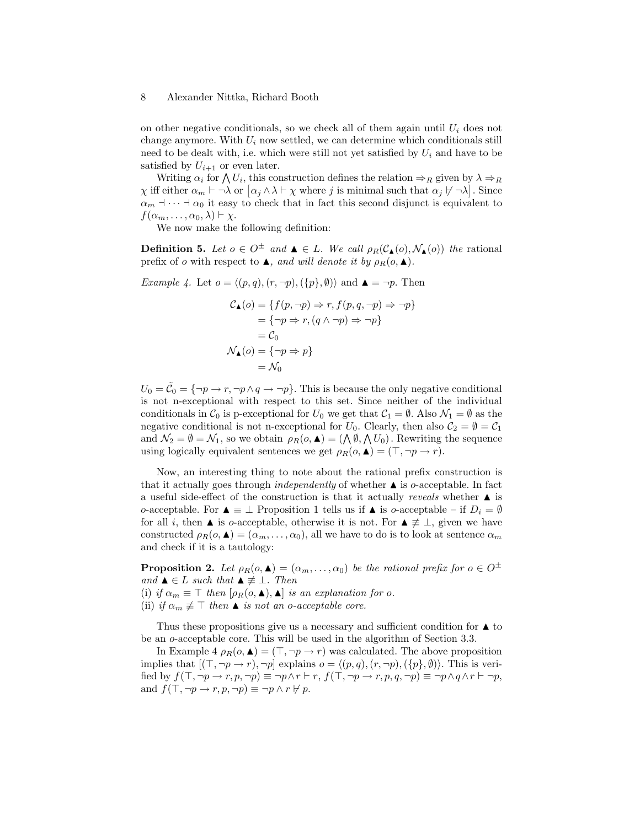on other negative conditionals, so we check all of them again until  $U_i$  does not change anymore. With  $U_i$  now settled, we can determine which conditionals still need to be dealt with, i.e. which were still not yet satisfied by  $U_i$  and have to be satisfied by  $U_{i+1}$  or even later.

Writing  $\alpha_i$  for  $\bigwedge U_i$ , this construction defines the relation  $\Rightarrow_R$  given by  $\lambda \Rightarrow_R$  $\chi$  iff either  $\alpha_m \vdash \neg \lambda$  or  $\lceil \alpha_j \wedge \lambda \vdash \chi$  where j is minimal such that  $\alpha_j \not\vdash \neg \lambda$ . Since  $\alpha_m$   $\beta_{m}$   $\beta_{m}$  it easy to check that in fact this second disjunct is equivalent to  $f(\alpha_m, \ldots, \alpha_0, \lambda) \vdash \chi.$ 

We now make the following definition:

**Definition 5.** Let  $o \in O^{\pm}$  and  $\blacktriangle \in L$ . We call  $\rho_R(C_{\blacktriangle}(o), \mathcal{N}_{\blacktriangle}(o))$  the rational prefix of o with respect to  $\blacktriangle$ , and will denote it by  $\rho_R(o, \blacktriangle)$ .

Example 4. Let  $o = \langle (p, q), (r, \neg p), (\lbrace p \rbrace, \emptyset) \rangle$  and  $\blacktriangle = \neg p$ . Then

$$
\begin{aligned} \mathcal{C}_\blacktriangle(o) &= \{ f(p, \neg p) \Rightarrow r, f(p, q, \neg p) \Rightarrow \neg p \} \\ &= \{ \neg p \Rightarrow r, (q \land \neg p) \Rightarrow \neg p \} \\ &= \mathcal{C}_0 \\ \mathcal{N}_\blacktriangle(o) &= \{ \neg p \Rightarrow p \} \\ &= \mathcal{N}_0 \end{aligned}
$$

 $U_0 = \tilde{C}_0 = \{\neg p \rightarrow r, \neg p \land q \rightarrow \neg p\}.$  This is because the only negative conditional is not n-exceptional with respect to this set. Since neither of the individual conditionals in  $C_0$  is p-exceptional for  $U_0$  we get that  $C_1 = \emptyset$ . Also  $\mathcal{N}_1 = \emptyset$  as the negative conditional is not n-exceptional for  $U_0$ . Clearly, then also  $C_2 = \emptyset = C_1$ and  $\mathcal{N}_2 = \emptyset = \mathcal{N}_1$ , so we obtain  $\rho_R(o, \blacktriangle) = (\bigwedge \emptyset, \bigwedge U_0)$ . Rewriting the sequence using logically equivalent sentences we get  $\rho_R(o, \blacktriangle) = (\top, \neg p \rightarrow r)$ .

Now, an interesting thing to note about the rational prefix construction is that it actually goes through *independently* of whether  $\triangle$  is *o*-acceptable. In fact a useful side-effect of the construction is that it actually *reveals* whether  $\blacktriangle$  is o-acceptable. For  $\blacktriangle$   $\equiv \bot$  Proposition 1 tells us if  $\blacktriangle$  is o-acceptable – if  $D_i = \emptyset$ for all *i*, then **A** is *o*-acceptable, otherwise it is not. For  $\blacktriangle \neq \bot$ , given we have constructed  $\rho_R(o, \blacktriangle) = (\alpha_m, \ldots, \alpha_0)$ , all we have to do is to look at sentence  $\alpha_m$ and check if it is a tautology:

**Proposition 2.** Let  $\rho_R(o, \blacktriangle) = (\alpha_m, \ldots, \alpha_0)$  be the rational prefix for  $o \in O^{\pm}$ and  $\blacktriangle \in L$  such that  $\blacktriangle \not\equiv \bot$ . Then (i) if  $\alpha_m \equiv \top$  then  $[\rho_R(o, \blacktriangle), \blacktriangle]$  is an explanation for o.

(ii) if  $\alpha_m \not\equiv \top$  then  $\blacktriangle$  is not an o-acceptable core.

Thus these propositions give us a necessary and sufficient condition for  $\blacktriangle$  to be an o-acceptable core. This will be used in the algorithm of Section 3.3.

In Example 4  $\rho_R(o, \blacktriangle) = (\top, \neg p \rightarrow r)$  was calculated. The above proposition implies that  $[(\top, \neg p \rightarrow r), \neg p]$  explains  $o = \langle (p, q), (r, \neg p), (\{p\}, \emptyset) \rangle$ . This is verified by  $f(\top, \neg p \rightarrow r, p, \neg p) \equiv \neg p \wedge r \vdash r$ ,  $f(\top, \neg p \rightarrow r, p, q, \neg p) \equiv \neg p \wedge q \wedge r \vdash \neg p$ , and  $f(\top, \neg p \rightarrow r, p, \neg p) \equiv \neg p \land r \not\vdash p$ .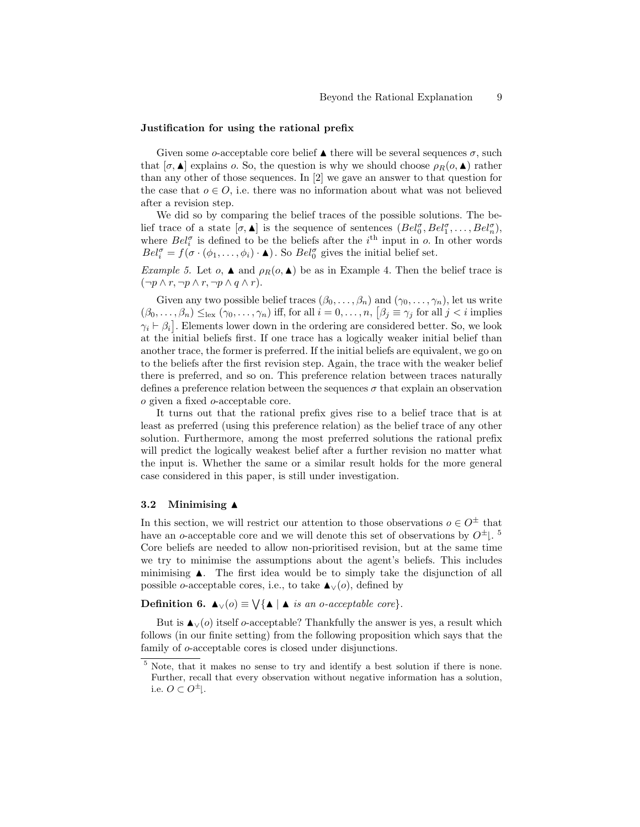#### Justification for using the rational prefix

Given some o-acceptable core belief  $\blacktriangle$  there will be several sequences  $\sigma$ , such that  $[\sigma, \blacktriangle]$  explains o. So, the question is why we should choose  $\rho_R(o, \blacktriangle)$  rather than any other of those sequences. In [2] we gave an answer to that question for the case that  $o \in O$ , i.e. there was no information about what was not believed after a revision step.

We did so by comparing the belief traces of the possible solutions. The belief trace of a state  $[\sigma, \blacktriangle]$  is the sequence of sentences  $(Bel_0^{\sigma}, Bel_1^{\sigma}, \ldots, Bel_n^{\sigma})$ , where  $Bel_i^{\sigma}$  is defined to be the beliefs after the *i*<sup>th</sup> input in *o*. In other words  $Bel_i^{\sigma} = f(\sigma \cdot (\phi_1, \ldots, \phi_i) \cdot \blacktriangle)$ . So  $Bel_0^{\sigma}$  gives the initial belief set.

*Example 5.* Let  $o$ ,  $\blacktriangle$  and  $\rho_R(o, \blacktriangle)$  be as in Example 4. Then the belief trace is  $(\neg p \land r, \neg p \land r, \neg p \land q \land r).$ 

Given any two possible belief traces  $(\beta_0, \ldots, \beta_n)$  and  $(\gamma_0, \ldots, \gamma_n)$ , let us write  $(\beta_0,\ldots,\beta_n) \leq_{\text{lex}} (\gamma_0,\ldots,\gamma_n)$  iff, for all  $i=0,\ldots,n$ ,  $\lceil \beta_j \rceil \equiv \gamma_j$  for all  $j < i$  implies  $\gamma_i \vdash \beta_i$ . Elements lower down in the ordering are considered better. So, we look at the initial beliefs first. If one trace has a logically weaker initial belief than another trace, the former is preferred. If the initial beliefs are equivalent, we go on to the beliefs after the first revision step. Again, the trace with the weaker belief there is preferred, and so on. This preference relation between traces naturally defines a preference relation between the sequences  $\sigma$  that explain an observation o given a fixed o-acceptable core.

It turns out that the rational prefix gives rise to a belief trace that is at least as preferred (using this preference relation) as the belief trace of any other solution. Furthermore, among the most preferred solutions the rational prefix will predict the logically weakest belief after a further revision no matter what the input is. Whether the same or a similar result holds for the more general case considered in this paper, is still under investigation.

### 3.2 Minimising  $\triangle$

In this section, we will restrict our attention to those observations  $o \in O^{\pm}$  that have an *o*-acceptable core and we will denote this set of observations by  $O^{\pm}$ .<sup>5</sup> Core beliefs are needed to allow non-prioritised revision, but at the same time we try to minimise the assumptions about the agent's beliefs. This includes minimising  $\blacktriangle$ . The first idea would be to simply take the disjunction of all possible o-acceptable cores, i.e., to take  $\blacktriangle$ <sub>∨</sub>(*o*), defined by

**Definition 6.**  $\blacktriangle_V(o) \equiv \bigvee \{ \blacktriangle \mid \blacktriangle \text{ is an } o\text{-}acceptable core \}.$ 

But is  $\blacktriangle$  √(o) itself o-acceptable? Thankfully the answer is yes, a result which follows (in our finite setting) from the following proposition which says that the family of o-acceptable cores is closed under disjunctions.

<sup>5</sup> Note, that it makes no sense to try and identify a best solution if there is none. Further, recall that every observation without negative information has a solution, i.e.  $O \subset O^{\pm}$ .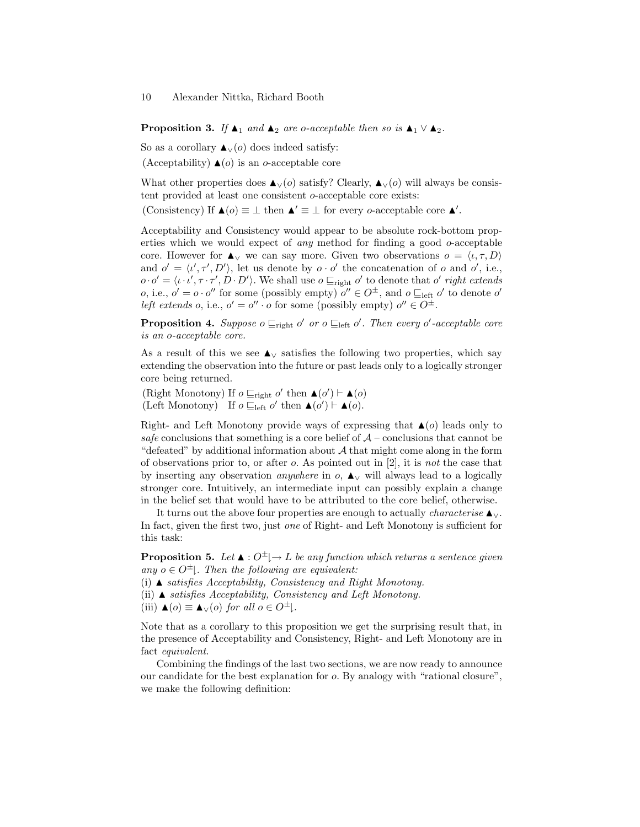**Proposition 3.** If  $\blacktriangle_1$  and  $\blacktriangle_2$  are o-acceptable then so is  $\blacktriangle_1 \vee \blacktriangle_2$ .

So as a corollary  $\blacktriangle$  √(*o*) does indeed satisfy: (Acceptability)  $\triangle$ (*o*) is an *o*-acceptable core

What other properties does  $\blacktriangle$ <sub>∨</sub>(*o*) satisfy? Clearly,  $\blacktriangle$ <sub>∨</sub>(*o*) will always be consistent provided at least one consistent o-acceptable core exists:

(Consistency) If  $\blacktriangle$  (*o*)  $\equiv \bot$  then  $\blacktriangle' \equiv \bot$  for every *o*-acceptable core  $\blacktriangle'$ .

Acceptability and Consistency would appear to be absolute rock-bottom properties which we would expect of *any* method for finding a good  $o$ -acceptable core. However for  $\blacktriangle$ <sub>∨</sub> we can say more. Given two observations  $o = \langle \iota, \tau, D \rangle$ and  $o' = \langle \iota', \tau', D' \rangle$ , let us denote by  $o \cdot o'$  the concatenation of o and o', i.e.,  $o \cdot o' = \langle \iota \cdot \iota', \tau \cdot \tau', D \cdot D' \rangle$ . We shall use  $o \sqsubseteq_{\text{right}} o'$  to denote that  $o'$  right extends *o*, i.e.,  $o' = o \cdot o''$  for some (possibly empty)  $o'' \in O^{\pm}$ , and  $o \sqsubseteq_{\text{left}} o'$  to denote  $o'$ left extends o, i.e.,  $o' = o'' \cdot o$  for some (possibly empty)  $o'' \in O^{\pm}$ .

**Proposition 4.** Suppose  $o \sqsubseteq_{\text{right}} o'$  or  $o \sqsubseteq_{\text{left}} o'$ . Then every  $o'$ -acceptable core is an o-acceptable core.

As a result of this we see  $\triangle$  v satisfies the following two properties, which say extending the observation into the future or past leads only to a logically stronger core being returned.

(Right Monotony) If  $o \sqsubseteq_{\text{right}} o'$  then  $\blacktriangle (o') \vdash \blacktriangle (o)$ (Left Monotony) If  $o \sqsubseteq_{\text{left}} o'$  then  $\blacktriangle (o') \vdash \blacktriangle (o)$ .

Right- and Left Monotony provide ways of expressing that  $\triangle$  (*o*) leads only to safe conclusions that something is a core belief of  $A$  – conclusions that cannot be "defeated" by additional information about  $A$  that might come along in the form of observations prior to, or after  $o$ . As pointed out in [2], it is *not* the case that by inserting any observation *anywhere* in  $o$ ,  $\triangle$  will always lead to a logically stronger core. Intuitively, an intermediate input can possibly explain a change in the belief set that would have to be attributed to the core belief, otherwise.

It turns out the above four properties are enough to actually *characterise*  $\blacktriangle$ <sub>∨</sub>. In fact, given the first two, just one of Right- and Left Monotony is sufficient for this task:

**Proposition 5.** Let  $\blacktriangle$  :  $O^{\pm}$   $\mapsto$  L be any function which returns a sentence given any  $o \in O^{\pm}$ . Then the following are equivalent:

(i)  $\blacktriangle$  satisfies Acceptability, Consistency and Right Monotony.

(ii)  $\blacktriangle$  satisfies Acceptability, Consistency and Left Monotony.

(iii)  $\blacktriangle$ (o)  $\equiv \blacktriangle$ <sub>∨</sub>(o) for all  $o \in O^{\pm}$ .

Note that as a corollary to this proposition we get the surprising result that, in the presence of Acceptability and Consistency, Right- and Left Monotony are in fact equivalent.

Combining the findings of the last two sections, we are now ready to announce our candidate for the best explanation for o. By analogy with "rational closure", we make the following definition: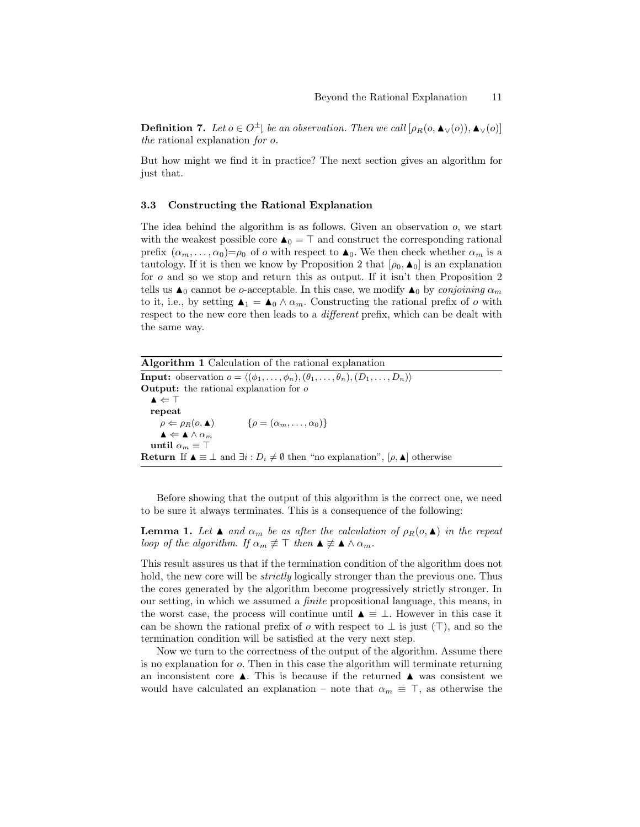**Definition 7.** Let  $o \in O^{\pm}$  be an observation. Then we call  $[\rho_R(o, \blacktriangle_{\vee}(o)), \blacktriangle_{\vee}(o)]$ the rational explanation for o.

But how might we find it in practice? The next section gives an algorithm for just that.

#### 3.3 Constructing the Rational Explanation

The idea behind the algorithm is as follows. Given an observation o, we start with the weakest possible core  $\blacktriangle_0 = \top$  and construct the corresponding rational prefix  $(\alpha_m, \ldots, \alpha_0) = \rho_0$  of o with respect to  $\blacktriangle_0$ . We then check whether  $\alpha_m$  is a tautology. If it is then we know by Proposition 2 that  $[\rho_0, \blacktriangle_0]$  is an explanation for o and so we stop and return this as output. If it isn't then Proposition 2 tells us  $\blacktriangle_0$  cannot be o-acceptable. In this case, we modify  $\blacktriangle_0$  by conjoining  $\alpha_m$ to it, i.e., by setting  $\blacktriangle_1 = \blacktriangle_0 \wedge \alpha_m$ . Constructing the rational prefix of o with respect to the new core then leads to a *different* prefix, which can be dealt with the same way.

| <b>Algorithm 1</b> Calculation of the rational explanation                                                                                   |
|----------------------------------------------------------------------------------------------------------------------------------------------|
| <b>Input:</b> observation $o = \langle (\phi_1, \ldots, \phi_n), (\theta_1, \ldots, \theta_n), (D_1, \ldots, D_n) \rangle$                   |
| <b>Output:</b> the rational explanation for $o$                                                                                              |
| $\blacktriangle \Leftarrow \top$                                                                                                             |
| repeat                                                                                                                                       |
| $\rho \Leftarrow \rho_R(o, \blacktriangle)$ $\{\rho = (\alpha_m, \ldots, \alpha_0)\}\$                                                       |
| $\blacktriangle \Leftarrow \blacktriangle \wedge \alpha_m$                                                                                   |
| until $\alpha_m \equiv \top$                                                                                                                 |
| <b>Return</b> If $\blacktriangle \equiv \bot$ and $\exists i : D_i \neq \emptyset$ then "no explanation", $[\rho, \blacktriangle]$ otherwise |

Before showing that the output of this algorithm is the correct one, we need to be sure it always terminates. This is a consequence of the following:

**Lemma 1.** Let  $\blacktriangle$  and  $\alpha_m$  be as after the calculation of  $\rho_R(o, \blacktriangle)$  in the repeat loop of the algorithm. If  $\alpha_m \not\equiv \top$  then  $\blacktriangle \not\equiv \blacktriangle \wedge \alpha_m$ .

This result assures us that if the termination condition of the algorithm does not hold, the new core will be *strictly* logically stronger than the previous one. Thus the cores generated by the algorithm become progressively strictly stronger. In our setting, in which we assumed a finite propositional language, this means, in the worst case, the process will continue until  $\blacktriangle \equiv \bot$ . However in this case it can be shown the rational prefix of  $o$  with respect to  $\perp$  is just ( $\top$ ), and so the termination condition will be satisfied at the very next step.

Now we turn to the correctness of the output of the algorithm. Assume there is no explanation for o. Then in this case the algorithm will terminate returning an inconsistent core  $\blacktriangle$ . This is because if the returned  $\blacktriangle$  was consistent we would have calculated an explanation – note that  $\alpha_m \equiv \top$ , as otherwise the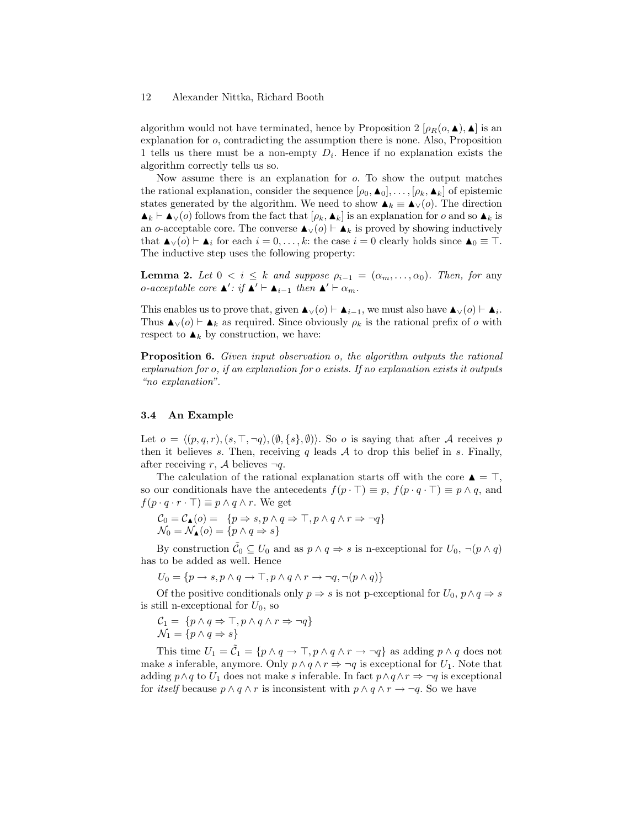algorithm would not have terminated, hence by Proposition 2  $[\rho_R(o, \blacktriangle)$ ,  $\blacktriangle]$  is an explanation for o, contradicting the assumption there is none. Also, Proposition 1 tells us there must be a non-empty  $D_i$ . Hence if no explanation exists the algorithm correctly tells us so.

Now assume there is an explanation for o. To show the output matches the rational explanation, consider the sequence  $[\rho_0, \blacktriangle_0], \ldots, [\rho_k, \blacktriangle_k]$  of epistemic states generated by the algorithm. We need to show  $\blacktriangle_k \equiv \blacktriangle_v(o)$ . The direction  $\blacktriangle_k \vdash \blacktriangle_{\vee}(o)$  follows from the fact that  $[\rho_k, \blacktriangle_k]$  is an explanation for o and so  $\blacktriangle_k$  is an o-acceptable core. The converse  $\blacktriangle$ <sub>∨</sub>(o)  $\vdash$   $\blacktriangle$ <sub>k</sub> is proved by showing inductively that  $\blacktriangle_{\vee}(o) \vdash \blacktriangle_i$  for each  $i = 0, \ldots, k$ : the case  $i = 0$  clearly holds since  $\blacktriangle_0 \equiv \top$ . The inductive step uses the following property:

**Lemma 2.** Let  $0 < i \leq k$  and suppose  $\rho_{i-1} = (\alpha_m, \dots, \alpha_0)$ . Then, for any o-acceptable core  $\blacktriangle'$ : if  $\blacktriangle' \vdash \blacktriangle_{i-1}$  then  $\blacktriangle' \vdash \alpha_m$ .

This enables us to prove that, given  $\blacktriangle_V(o) \vdash \blacktriangle_{i-1}$ , we must also have  $\blacktriangle_V(o) \vdash \blacktriangle_i$ . Thus  $\blacktriangle$ <sub>V</sub>(*o*)  $\vdash$   $\blacktriangle$ <sub>k</sub> as required. Since obviously  $\rho_k$  is the rational prefix of *o* with respect to  $\blacktriangle_k$  by construction, we have:

Proposition 6. Given input observation o, the algorithm outputs the rational explanation for o, if an explanation for o exists. If no explanation exists it outputs "no explanation".

#### 3.4 An Example

Let  $o = \langle (p, q, r), (s, \top, \neg q), (\emptyset, \{s\}, \emptyset) \rangle$ . So o is saying that after A receives p then it believes s. Then, receiving q leads  $A$  to drop this belief in s. Finally, after receiving r, A believes  $\neg q$ .

The calculation of the rational explanation starts off with the core  $\triangle = \top$ , so our conditionals have the antecedents  $f(p \cdot \top) \equiv p$ ,  $f(p \cdot q \cdot \top) \equiv p \wedge q$ , and  $f(p \cdot q \cdot r \cdot \top) \equiv p \wedge q \wedge r$ . We get

$$
\begin{array}{l} \mathcal{C}_0=\mathcal{C}_\blacktriangle(o)=\;\{p\Rightarrow s,p\wedge q\Rightarrow\top, p\wedge q\wedge r\Rightarrow \neg q\}\\ \mathcal{N}_0=\mathcal{N}_\blacktriangle(o)=\{p\wedge q\Rightarrow s\}\end{array}
$$

By construction  $\tilde{C}_0 \subseteq U_0$  and as  $p \wedge q \Rightarrow s$  is n-exceptional for  $U_0$ ,  $\neg(p \wedge q)$ has to be added as well. Hence

$$
U_0 = \{ p \to s, p \land q \to \top, p \land q \land r \to \neg q, \neg (p \land q) \}
$$

Of the positive conditionals only  $p \Rightarrow s$  is not p-exceptional for  $U_0$ ,  $p \land q \Rightarrow s$ is still n-exceptional for  $U_0$ , so

$$
\mathcal{C}_1 = \{ p \land q \Rightarrow \top, p \land q \land r \Rightarrow \neg q \}
$$
  

$$
\mathcal{N}_1 = \{ p \land q \Rightarrow s \}
$$

This time  $U_1 = \tilde{C}_1 = \{p \land q \to \top, p \land q \land r \to \neg q\}$  as adding  $p \land q$  does not make s inferable, anymore. Only  $p \wedge q \wedge r \Rightarrow \neg q$  is exceptional for  $U_1$ . Note that adding  $p \wedge q$  to  $U_1$  does not make s inferable. In fact  $p \wedge q \wedge r \Rightarrow \neg q$  is exceptional for *itself* because  $p \wedge q \wedge r$  is inconsistent with  $p \wedge q \wedge r \rightarrow \neg q$ . So we have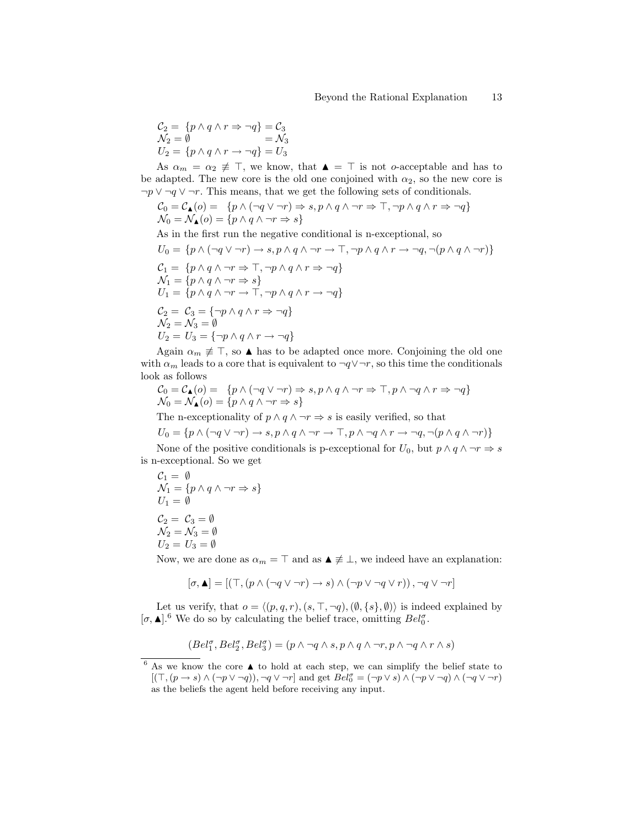$$
C_2 = \{p \land q \land r \Rightarrow \neg q\} = C_3
$$
  
\n
$$
N_2 = \emptyset = N_3
$$
  
\n
$$
U_2 = \{p \land q \land r \rightarrow \neg q\} = U_3
$$

As  $\alpha_m = \alpha_2 \neq \top$ , we know, that  $\blacktriangle = \top$  is not o-acceptable and has to be adapted. The new core is the old one conjoined with  $\alpha_2$ , so the new core is  $\neg p \lor \neg q \lor \neg r$ . This means, that we get the following sets of conditionals.

$$
C_0 = C_{\mathbf{\Lambda}}(o) = \{ p \land (\neg q \lor \neg r) \Rightarrow s, p \land q \land \neg r \Rightarrow \top, \neg p \land q \land r \Rightarrow \neg q \}
$$
  

$$
\mathcal{N}_0 = \mathcal{N}_{\mathbf{\Lambda}}(o) = \{ p \land q \land \neg r \Rightarrow s \}
$$

As in the first run the negative conditional is n-exceptional, so

$$
U_0 = \{ p \land (\neg q \lor \neg r) \rightarrow s, p \land q \land \neg r \rightarrow \top, \neg p \land q \land r \rightarrow \neg q, \neg (p \land q \land \neg r) \}
$$
  
\n
$$
C_1 = \{ p \land q \land \neg r \Rightarrow \top, \neg p \land q \land r \Rightarrow \neg q \}
$$
  
\n
$$
\mathcal{N}_1 = \{ p \land q \land \neg r \Rightarrow s \}
$$
  
\n
$$
U_1 = \{ p \land q \land \neg r \rightarrow \top, \neg p \land q \land r \rightarrow \neg q \}
$$
  
\n
$$
C_2 = C_3 = \{ \neg p \land q \land r \Rightarrow \neg q \}
$$
  
\n
$$
\mathcal{N}_2 = \mathcal{N}_3 = \emptyset
$$
  
\n
$$
U_2 = U_3 = \{ \neg p \land q \land r \rightarrow \neg q \}
$$

Again  $\alpha_m \neq \top$ , so A has to be adapted once more. Conjoining the old one with  $\alpha_m$  leads to a core that is equivalent to  $\neg q \vee \neg r$ , so this time the conditionals look as follows

$$
\begin{array}{l} \mathcal{C}_0=\mathcal{C}_\blacktriangle(o)=\;\{p\wedge (\neg q\vee \neg r)\Rightarrow s, p\wedge q\wedge \neg r\Rightarrow \top, p\wedge \neg q\wedge r\Rightarrow \neg q\}\\ \mathcal{N}_0=\mathcal{N}_\blacktriangle(o)=\{p\wedge q\wedge \neg r\Rightarrow s\}\end{array}
$$

The n-exceptionality of  $p \wedge q \wedge \neg r \Rightarrow s$  is easily verified, so that

$$
U_0 = \{ p \land (\neg q \lor \neg r) \to s, p \land q \land \neg r \to \top, p \land \neg q \land r \to \neg q, \neg (p \land q \land \neg r) \}
$$

None of the positive conditionals is p-exceptional for  $U_0$ , but  $p \wedge q \wedge \neg r \Rightarrow s$ is n-exceptional. So we get

$$
C_1 = \emptyset
$$
  
\n
$$
\mathcal{N}_1 = \{p \land q \land \neg r \Rightarrow s\}
$$
  
\n
$$
U_1 = \emptyset
$$
  
\n
$$
C_2 = C_3 = \emptyset
$$
  
\n
$$
\mathcal{N}_2 = \mathcal{N}_3 = \emptyset
$$
  
\n
$$
U_2 = U_3 = \emptyset
$$

Now, we are done as  $\alpha_m = \top$  and as  $\blacktriangle \neq \bot$ , we indeed have an explanation:

$$
[\sigma, \blacktriangle] = [(\top, (p \land (\neg q \lor \neg r) \to s) \land (\neg p \lor \neg q \lor r)), \neg q \lor \neg r]
$$

Let us verify, that  $o = \langle (p, q, r), (s, \top, \neg q), (\emptyset, \{s\}, \emptyset) \rangle$  is indeed explained by  $[\sigma, \blacktriangle]$ .<sup>6</sup> We do so by calculating the belief trace, omitting  $Bel_0^{\sigma}$ .

$$
(Bel_1^\sigma, Bel_2^\sigma, Bel_3^\sigma)=(p \land \lnot q \land s, p \land q \land \lnot r, p \land \lnot q \land r \land s)
$$

 $6$  As we know the core  $\blacktriangle$  to hold at each step, we can simplify the belief state to  $[(\top, (p \to s) \land (\neg p \lor \neg q)), \neg q \lor \neg r]$  and get  $Bel_0^{\sigma} = (\neg p \lor s) \land (\neg p \lor \neg q) \land (\neg q \lor \neg r)$ as the beliefs the agent held before receiving any input.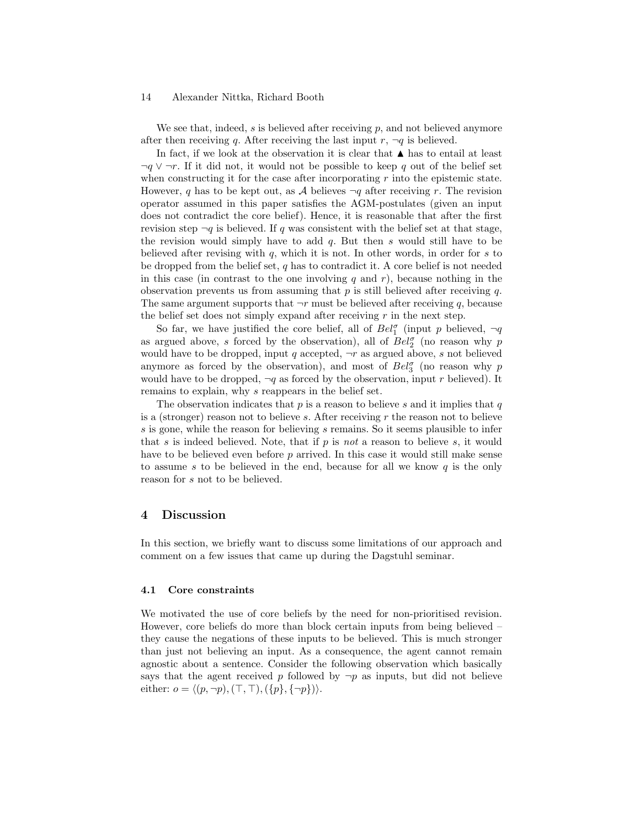We see that, indeed,  $s$  is believed after receiving  $p$ , and not believed anymore after then receiving q. After receiving the last input  $r, \neg q$  is believed.

In fact, if we look at the observation it is clear that  $\blacktriangle$  has to entail at least  $\neg q \lor \neg r$ . If it did not, it would not be possible to keep q out of the belief set when constructing it for the case after incorporating  $r$  into the epistemic state. However, q has to be kept out, as A believes  $\neg q$  after receiving r. The revision operator assumed in this paper satisfies the AGM-postulates (given an input does not contradict the core belief). Hence, it is reasonable that after the first revision step  $\neg q$  is believed. If q was consistent with the belief set at that stage, the revision would simply have to add  $q$ . But then  $s$  would still have to be believed after revising with  $q$ , which it is not. In other words, in order for  $s$  to be dropped from the belief set,  $q$  has to contradict it. A core belief is not needed in this case (in contrast to the one involving q and r), because nothing in the observation prevents us from assuming that  $p$  is still believed after receiving  $q$ . The same argument supports that  $\neg r$  must be believed after receiving q, because the belief set does not simply expand after receiving  $r$  in the next step.

So far, we have justified the core belief, all of  $Bel_1^{\sigma}$  (input p believed,  $\neg q$ as argued above, s forced by the observation), all of  $Bel_2^{\sigma}$  (no reason why  $p$ would have to be dropped, input q accepted,  $\neg r$  as argued above, s not believed anymore as forced by the observation), and most of  $Bel_3^{\sigma}$  (no reason why p would have to be dropped,  $\neg q$  as forced by the observation, input r believed). It remains to explain, why s reappears in the belief set.

The observation indicates that  $p$  is a reason to believe s and it implies that  $q$ is a (stronger) reason not to believe  $s$ . After receiving  $r$  the reason not to believe s is gone, while the reason for believing s remains. So it seems plausible to infer that  $s$  is indeed believed. Note, that if  $p$  is not a reason to believe  $s$ , it would have to be believed even before p arrived. In this case it would still make sense to assume s to be believed in the end, because for all we know  $q$  is the only reason for s not to be believed.

## 4 Discussion

In this section, we briefly want to discuss some limitations of our approach and comment on a few issues that came up during the Dagstuhl seminar.

### 4.1 Core constraints

We motivated the use of core beliefs by the need for non-prioritised revision. However, core beliefs do more than block certain inputs from being believed – they cause the negations of these inputs to be believed. This is much stronger than just not believing an input. As a consequence, the agent cannot remain agnostic about a sentence. Consider the following observation which basically says that the agent received p followed by  $\neg p$  as inputs, but did not believe either:  $o = \langle (p, \neg p), (\top, \top), (\{p\}, \{\neg p\})\rangle.$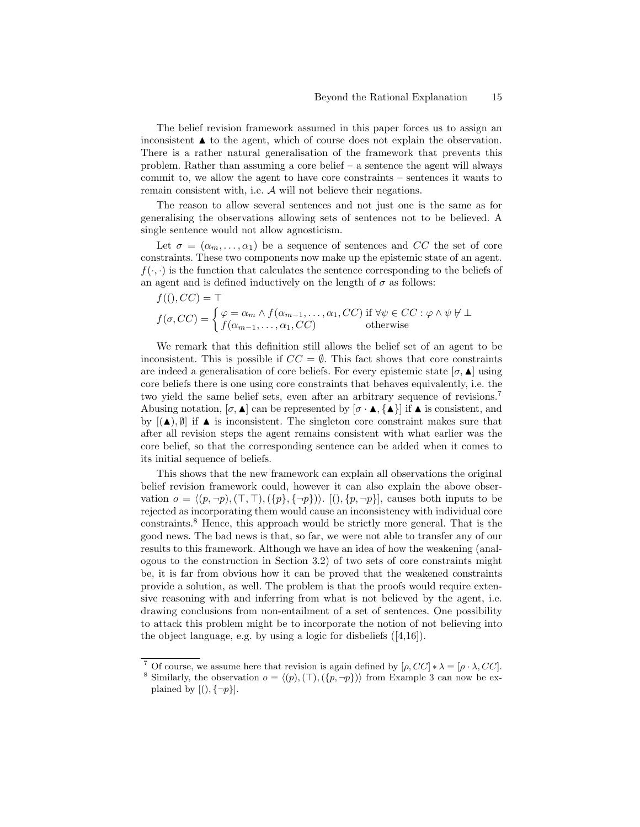The belief revision framework assumed in this paper forces us to assign an inconsistent  $\blacktriangle$  to the agent, which of course does not explain the observation. There is a rather natural generalisation of the framework that prevents this problem. Rather than assuming a core belief – a sentence the agent will always commit to, we allow the agent to have core constraints – sentences it wants to remain consistent with, i.e. A will not believe their negations.

The reason to allow several sentences and not just one is the same as for generalising the observations allowing sets of sentences not to be believed. A single sentence would not allow agnosticism.

Let  $\sigma = (\alpha_m, \ldots, \alpha_1)$  be a sequence of sentences and CC the set of core constraints. These two components now make up the epistemic state of an agent.  $f(\cdot, \cdot)$  is the function that calculates the sentence corresponding to the beliefs of an agent and is defined inductively on the length of  $\sigma$  as follows:

$$
f((),CC) = \top
$$
  
\n
$$
f(\sigma, CC) = \begin{cases} \varphi = \alpha_m \wedge f(\alpha_{m-1}, \dots, \alpha_1, CC) & \text{if } \forall \psi \in CC : \varphi \wedge \psi \nvdash \bot \\ f(\alpha_{m-1}, \dots, \alpha_1, CC) & \text{otherwise} \end{cases}
$$

We remark that this definition still allows the belief set of an agent to be inconsistent. This is possible if  $CC = \emptyset$ . This fact shows that core constraints are indeed a generalisation of core beliefs. For every epistemic state  $[\sigma, \blacktriangle]$  using core beliefs there is one using core constraints that behaves equivalently, i.e. the two yield the same belief sets, even after an arbitrary sequence of revisions.<sup>7</sup> Abusing notation,  $[\sigma, \blacktriangle]$  can be represented by  $[\sigma \cdot \blacktriangle] \{ \blacktriangle \}$  if  $\blacktriangle$  is consistent, and by  $[(\triangle)$ ,  $\emptyset]$  if  $\triangle$  is inconsistent. The singleton core constraint makes sure that after all revision steps the agent remains consistent with what earlier was the core belief, so that the corresponding sentence can be added when it comes to its initial sequence of beliefs.

This shows that the new framework can explain all observations the original belief revision framework could, however it can also explain the above observation  $o = \langle (p, \neg p), (\top, \top), (\{p\}, \{\neg p\})\rangle$ .  $[(), \{p, \neg p\}]$ , causes both inputs to be rejected as incorporating them would cause an inconsistency with individual core constraints.<sup>8</sup> Hence, this approach would be strictly more general. That is the good news. The bad news is that, so far, we were not able to transfer any of our results to this framework. Although we have an idea of how the weakening (analogous to the construction in Section 3.2) of two sets of core constraints might be, it is far from obvious how it can be proved that the weakened constraints provide a solution, as well. The problem is that the proofs would require extensive reasoning with and inferring from what is not believed by the agent, i.e. drawing conclusions from non-entailment of a set of sentences. One possibility to attack this problem might be to incorporate the notion of not believing into the object language, e.g. by using a logic for disbeliefs ([4,16]).

<sup>&</sup>lt;sup>7</sup> Of course, we assume here that revision is again defined by  $[\rho, CC] * \lambda = [\rho \cdot \lambda, CC]$ .

<sup>&</sup>lt;sup>8</sup> Similarly, the observation  $o = \langle (p), (\top), (\{p, \neg p\}) \rangle$  from Example 3 can now be explained by  $[(\cdot), \{\neg p\}].$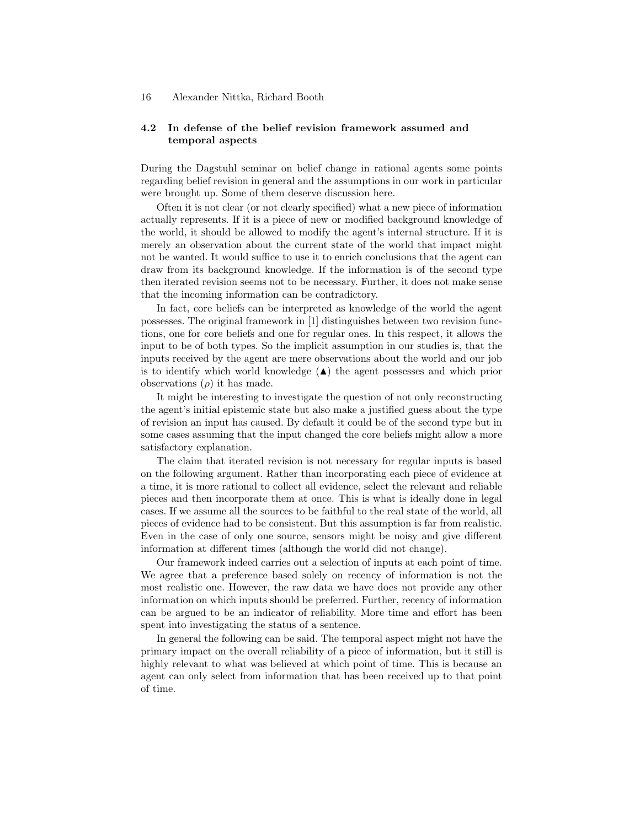# 4.2 In defense of the belief revision framework assumed and temporal aspects

During the Dagstuhl seminar on belief change in rational agents some points regarding belief revision in general and the assumptions in our work in particular were brought up. Some of them deserve discussion here.

Often it is not clear (or not clearly specified) what a new piece of information actually represents. If it is a piece of new or modified background knowledge of the world, it should be allowed to modify the agent's internal structure. If it is merely an observation about the current state of the world that impact might not be wanted. It would suffice to use it to enrich conclusions that the agent can draw from its background knowledge. If the information is of the second type then iterated revision seems not to be necessary. Further, it does not make sense that the incoming information can be contradictory.

In fact, core beliefs can be interpreted as knowledge of the world the agent possesses. The original framework in [1] distinguishes between two revision functions, one for core beliefs and one for regular ones. In this respect, it allows the input to be of both types. So the implicit assumption in our studies is, that the inputs received by the agent are mere observations about the world and our job is to identify which world knowledge  $(\triangle)$  the agent possesses and which prior observations  $(\rho)$  it has made.

It might be interesting to investigate the question of not only reconstructing the agent's initial epistemic state but also make a justified guess about the type of revision an input has caused. By default it could be of the second type but in some cases assuming that the input changed the core beliefs might allow a more satisfactory explanation.

The claim that iterated revision is not necessary for regular inputs is based on the following argument. Rather than incorporating each piece of evidence at a time, it is more rational to collect all evidence, select the relevant and reliable pieces and then incorporate them at once. This is what is ideally done in legal cases. If we assume all the sources to be faithful to the real state of the world, all pieces of evidence had to be consistent. But this assumption is far from realistic. Even in the case of only one source, sensors might be noisy and give different information at different times (although the world did not change).

Our framework indeed carries out a selection of inputs at each point of time. We agree that a preference based solely on recency of information is not the most realistic one. However, the raw data we have does not provide any other information on which inputs should be preferred. Further, recency of information can be argued to be an indicator of reliability. More time and effort has been spent into investigating the status of a sentence.

In general the following can be said. The temporal aspect might not have the primary impact on the overall reliability of a piece of information, but it still is highly relevant to what was believed at which point of time. This is because an agent can only select from information that has been received up to that point of time.